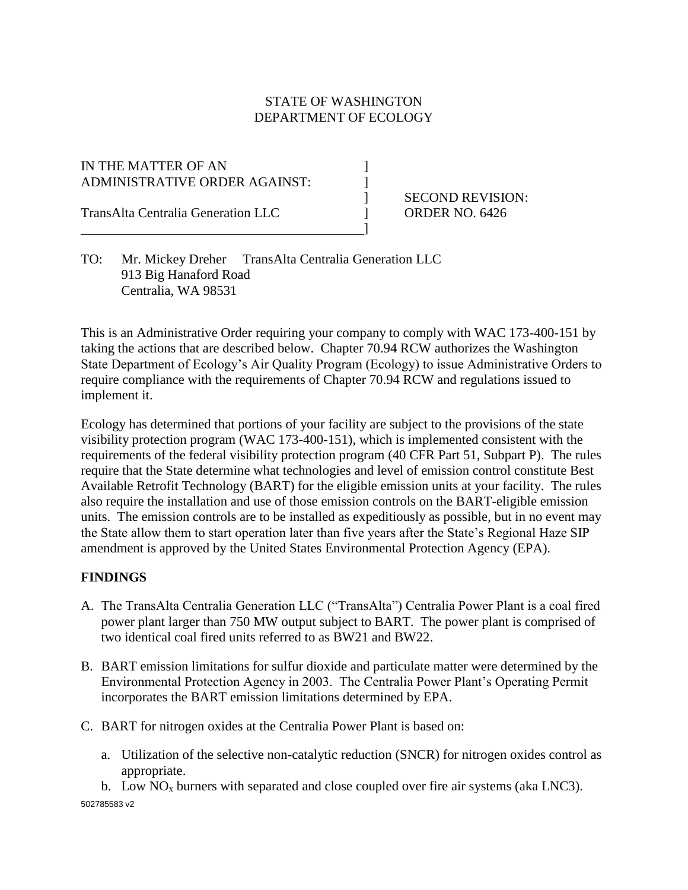## STATE OF WASHINGTON DEPARTMENT OF ECOLOGY

]

IN THE MATTER OF AN  $\vert$ ADMINISTRATIVE ORDER AGAINST:

TransAlta Centralia Generation LLC ] ORDER NO. 6426

] SECOND REVISION:

TO: Mr. Mickey Dreher TransAlta Centralia Generation LLC 913 Big Hanaford Road Centralia, WA 98531

This is an Administrative Order requiring your company to comply with WAC 173-400-151 by taking the actions that are described below. Chapter 70.94 RCW authorizes the Washington State Department of Ecology's Air Quality Program (Ecology) to issue Administrative Orders to require compliance with the requirements of Chapter 70.94 RCW and regulations issued to implement it.

Ecology has determined that portions of your facility are subject to the provisions of the state visibility protection program (WAC 173-400-151), which is implemented consistent with the requirements of the federal visibility protection program (40 CFR Part 51, Subpart P). The rules require that the State determine what technologies and level of emission control constitute Best Available Retrofit Technology (BART) for the eligible emission units at your facility. The rules also require the installation and use of those emission controls on the BART-eligible emission units. The emission controls are to be installed as expeditiously as possible, but in no event may the State allow them to start operation later than five years after the State's Regional Haze SIP amendment is approved by the United States Environmental Protection Agency (EPA).

#### **FINDINGS**

- A. The TransAlta Centralia Generation LLC ("TransAlta") Centralia Power Plant is a coal fired power plant larger than 750 MW output subject to BART. The power plant is comprised of two identical coal fired units referred to as BW21 and BW22.
- B. BART emission limitations for sulfur dioxide and particulate matter were determined by the Environmental Protection Agency in 2003. The Centralia Power Plant's Operating Permit incorporates the BART emission limitations determined by EPA.
- C. BART for nitrogen oxides at the Centralia Power Plant is based on:
	- a. Utilization of the selective non-catalytic reduction (SNCR) for nitrogen oxides control as appropriate.

502785583 v2 b. Low  $NO<sub>x</sub>$  burners with separated and close coupled over fire air systems (aka LNC3).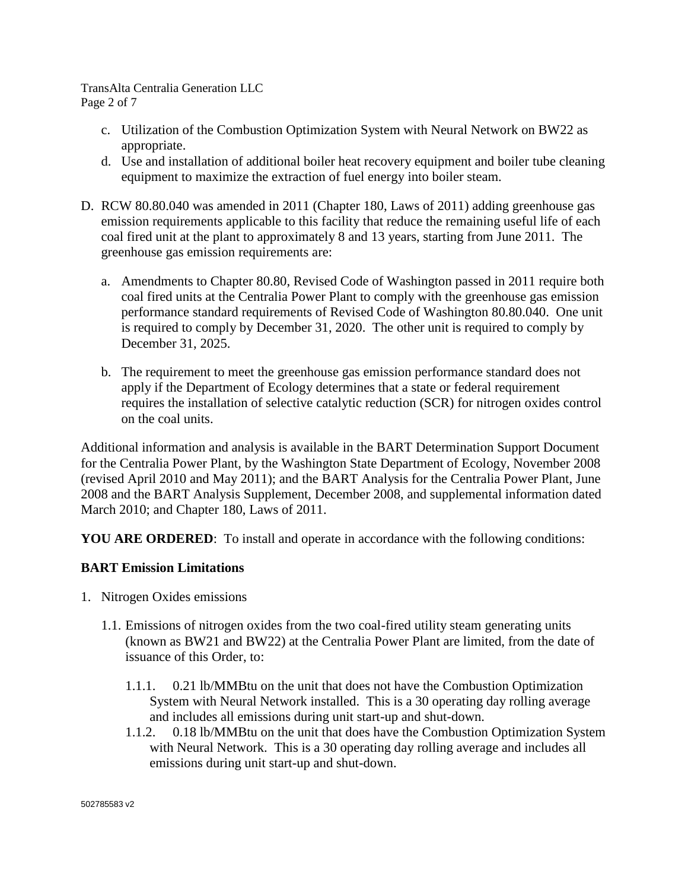TransAlta Centralia Generation LLC Page 2 of 7

- c. Utilization of the Combustion Optimization System with Neural Network on BW22 as appropriate.
- d. Use and installation of additional boiler heat recovery equipment and boiler tube cleaning equipment to maximize the extraction of fuel energy into boiler steam.
- D. RCW 80.80.040 was amended in 2011 (Chapter 180, Laws of 2011) adding greenhouse gas emission requirements applicable to this facility that reduce the remaining useful life of each coal fired unit at the plant to approximately 8 and 13 years, starting from June 2011. The greenhouse gas emission requirements are:
	- a. Amendments to Chapter 80.80, Revised Code of Washington passed in 2011 require both coal fired units at the Centralia Power Plant to comply with the greenhouse gas emission performance standard requirements of Revised Code of Washington 80.80.040. One unit is required to comply by December 31, 2020. The other unit is required to comply by December 31, 2025.
	- b. The requirement to meet the greenhouse gas emission performance standard does not apply if the Department of Ecology determines that a state or federal requirement requires the installation of selective catalytic reduction (SCR) for nitrogen oxides control on the coal units.

Additional information and analysis is available in the BART Determination Support Document for the Centralia Power Plant, by the Washington State Department of Ecology, November 2008 (revised April 2010 and May 2011); and the BART Analysis for the Centralia Power Plant, June 2008 and the BART Analysis Supplement, December 2008, and supplemental information dated March 2010; and Chapter 180, Laws of 2011.

**YOU ARE ORDERED:** To install and operate in accordance with the following conditions:

#### **BART Emission Limitations**

- 1. Nitrogen Oxides emissions
	- 1.1. Emissions of nitrogen oxides from the two coal-fired utility steam generating units (known as BW21 and BW22) at the Centralia Power Plant are limited, from the date of issuance of this Order, to:
		- 1.1.1. 0.21 lb/MMBtu on the unit that does not have the Combustion Optimization System with Neural Network installed. This is a 30 operating day rolling average and includes all emissions during unit start-up and shut-down.
		- 1.1.2. 0.18 lb/MMBtu on the unit that does have the Combustion Optimization System with Neural Network. This is a 30 operating day rolling average and includes all emissions during unit start-up and shut-down.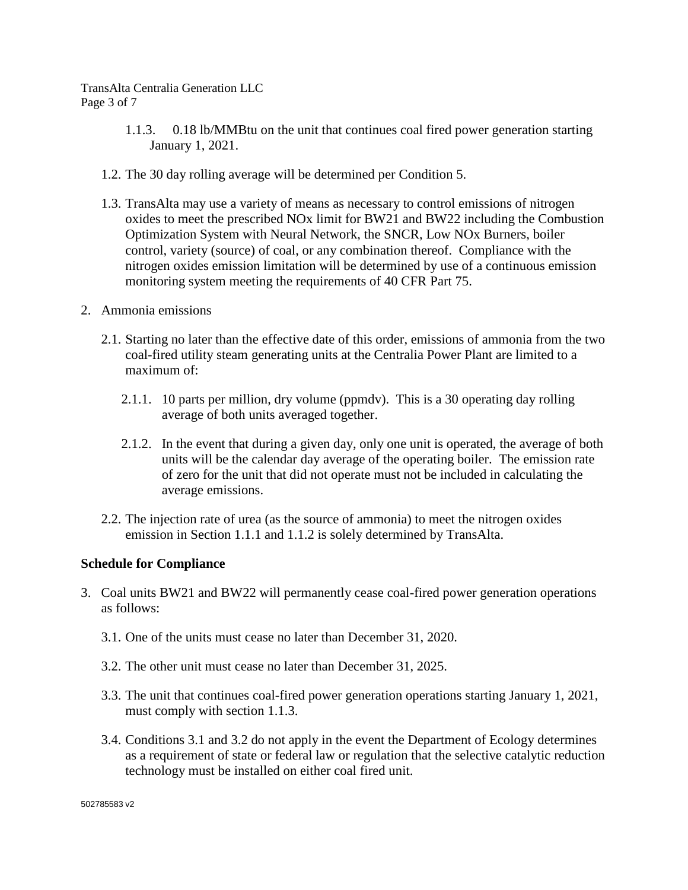TransAlta Centralia Generation LLC Page 3 of 7

- 1.1.3. 0.18 lb/MMBtu on the unit that continues coal fired power generation starting January 1, 2021.
- 1.2. The 30 day rolling average will be determined per Condition 5.
- 1.3. TransAlta may use a variety of means as necessary to control emissions of nitrogen oxides to meet the prescribed NOx limit for BW21 and BW22 including the Combustion Optimization System with Neural Network, the SNCR, Low NOx Burners, boiler control, variety (source) of coal, or any combination thereof. Compliance with the nitrogen oxides emission limitation will be determined by use of a continuous emission monitoring system meeting the requirements of 40 CFR Part 75.
- 2. Ammonia emissions
	- 2.1. Starting no later than the effective date of this order, emissions of ammonia from the two coal-fired utility steam generating units at the Centralia Power Plant are limited to a maximum of:
		- 2.1.1. 10 parts per million, dry volume (ppmdv). This is a 30 operating day rolling average of both units averaged together.
		- 2.1.2. In the event that during a given day, only one unit is operated, the average of both units will be the calendar day average of the operating boiler. The emission rate of zero for the unit that did not operate must not be included in calculating the average emissions.
	- 2.2. The injection rate of urea (as the source of ammonia) to meet the nitrogen oxides emission in Section 1.1.1 and 1.1.2 is solely determined by TransAlta.

#### **Schedule for Compliance**

- 3. Coal units BW21 and BW22 will permanently cease coal-fired power generation operations as follows:
	- 3.1. One of the units must cease no later than December 31, 2020.
	- 3.2. The other unit must cease no later than December 31, 2025.
	- 3.3. The unit that continues coal-fired power generation operations starting January 1, 2021, must comply with section 1.1.3.
	- 3.4. Conditions 3.1 and 3.2 do not apply in the event the Department of Ecology determines as a requirement of state or federal law or regulation that the selective catalytic reduction technology must be installed on either coal fired unit.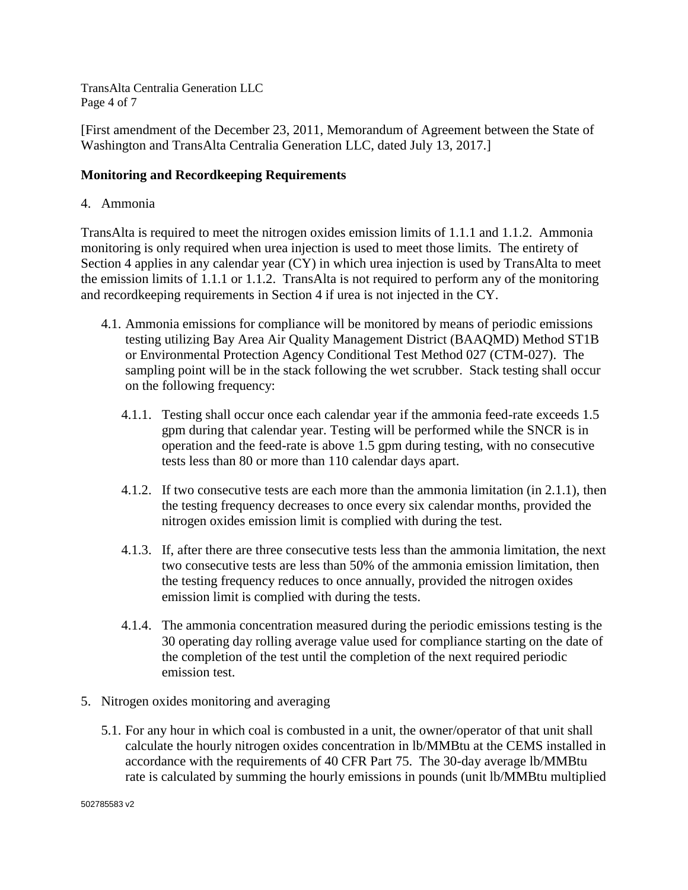TransAlta Centralia Generation LLC Page 4 of 7

[First amendment of the December 23, 2011, Memorandum of Agreement between the State of Washington and TransAlta Centralia Generation LLC, dated July 13, 2017.]

## **Monitoring and Recordkeeping Requirements**

4. Ammonia

TransAlta is required to meet the nitrogen oxides emission limits of 1.1.1 and 1.1.2. Ammonia monitoring is only required when urea injection is used to meet those limits. The entirety of Section 4 applies in any calendar year (CY) in which urea injection is used by TransAlta to meet the emission limits of 1.1.1 or 1.1.2. TransAlta is not required to perform any of the monitoring and recordkeeping requirements in Section 4 if urea is not injected in the CY.

- 4.1. Ammonia emissions for compliance will be monitored by means of periodic emissions testing utilizing Bay Area Air Quality Management District (BAAQMD) Method ST1B or Environmental Protection Agency Conditional Test Method 027 (CTM-027). The sampling point will be in the stack following the wet scrubber. Stack testing shall occur on the following frequency:
	- 4.1.1. Testing shall occur once each calendar year if the ammonia feed-rate exceeds 1.5 gpm during that calendar year. Testing will be performed while the SNCR is in operation and the feed-rate is above 1.5 gpm during testing, with no consecutive tests less than 80 or more than 110 calendar days apart.
	- 4.1.2. If two consecutive tests are each more than the ammonia limitation (in 2.1.1), then the testing frequency decreases to once every six calendar months, provided the nitrogen oxides emission limit is complied with during the test.
	- 4.1.3. If, after there are three consecutive tests less than the ammonia limitation, the next two consecutive tests are less than 50% of the ammonia emission limitation, then the testing frequency reduces to once annually, provided the nitrogen oxides emission limit is complied with during the tests.
	- 4.1.4. The ammonia concentration measured during the periodic emissions testing is the 30 operating day rolling average value used for compliance starting on the date of the completion of the test until the completion of the next required periodic emission test.
- 5. Nitrogen oxides monitoring and averaging
	- 5.1. For any hour in which coal is combusted in a unit, the owner/operator of that unit shall calculate the hourly nitrogen oxides concentration in lb/MMBtu at the CEMS installed in accordance with the requirements of 40 CFR Part 75. The 30-day average lb/MMBtu rate is calculated by summing the hourly emissions in pounds (unit lb/MMBtu multiplied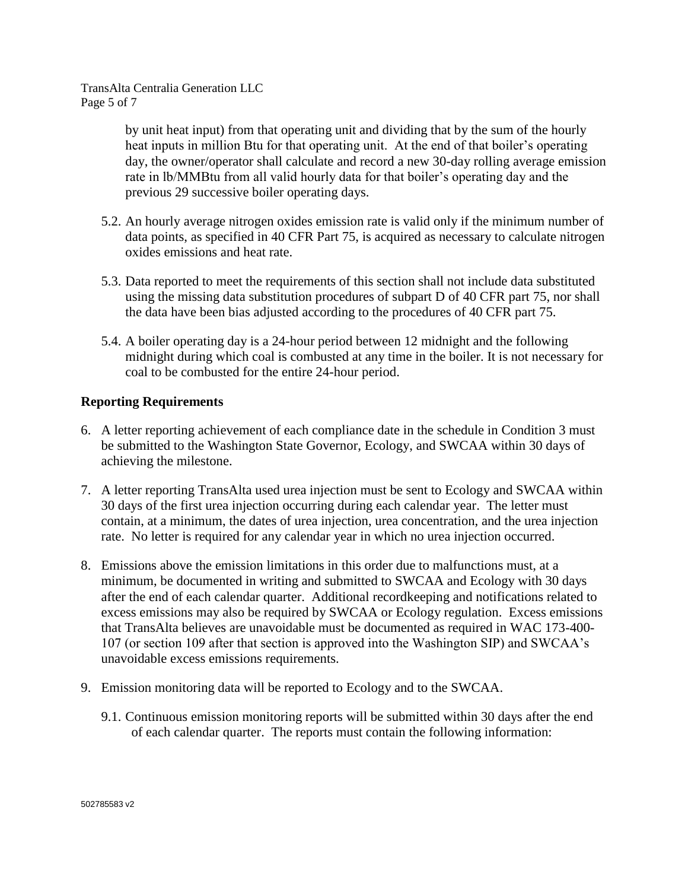TransAlta Centralia Generation LLC Page 5 of 7

> by unit heat input) from that operating unit and dividing that by the sum of the hourly heat inputs in million Btu for that operating unit. At the end of that boiler's operating day, the owner/operator shall calculate and record a new 30-day rolling average emission rate in lb/MMBtu from all valid hourly data for that boiler's operating day and the previous 29 successive boiler operating days.

- 5.2. An hourly average nitrogen oxides emission rate is valid only if the minimum number of data points, as specified in 40 CFR Part 75, is acquired as necessary to calculate nitrogen oxides emissions and heat rate.
- 5.3. Data reported to meet the requirements of this section shall not include data substituted using the missing data substitution procedures of subpart D of 40 CFR part 75, nor shall the data have been bias adjusted according to the procedures of 40 CFR part 75.
- 5.4. A boiler operating day is a 24-hour period between 12 midnight and the following midnight during which coal is combusted at any time in the boiler. It is not necessary for coal to be combusted for the entire 24-hour period.

# **Reporting Requirements**

- 6. A letter reporting achievement of each compliance date in the schedule in Condition 3 must be submitted to the Washington State Governor, Ecology, and SWCAA within 30 days of achieving the milestone.
- 7. A letter reporting TransAlta used urea injection must be sent to Ecology and SWCAA within 30 days of the first urea injection occurring during each calendar year. The letter must contain, at a minimum, the dates of urea injection, urea concentration, and the urea injection rate. No letter is required for any calendar year in which no urea injection occurred.
- 8. Emissions above the emission limitations in this order due to malfunctions must, at a minimum, be documented in writing and submitted to SWCAA and Ecology with 30 days after the end of each calendar quarter. Additional recordkeeping and notifications related to excess emissions may also be required by SWCAA or Ecology regulation. Excess emissions that TransAlta believes are unavoidable must be documented as required in WAC 173-400- 107 (or section 109 after that section is approved into the Washington SIP) and SWCAA's unavoidable excess emissions requirements.
- 9. Emission monitoring data will be reported to Ecology and to the SWCAA.
	- 9.1. Continuous emission monitoring reports will be submitted within 30 days after the end of each calendar quarter. The reports must contain the following information: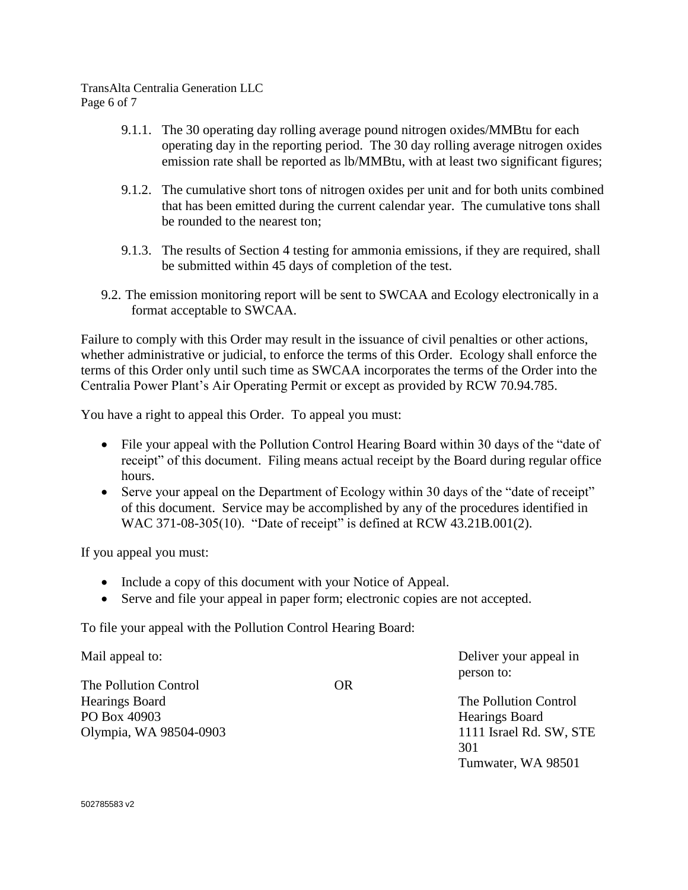#### TransAlta Centralia Generation LLC Page 6 of 7

- 9.1.1. The 30 operating day rolling average pound nitrogen oxides/MMBtu for each operating day in the reporting period. The 30 day rolling average nitrogen oxides emission rate shall be reported as lb/MMBtu, with at least two significant figures;
- 9.1.2. The cumulative short tons of nitrogen oxides per unit and for both units combined that has been emitted during the current calendar year. The cumulative tons shall be rounded to the nearest ton;
- 9.1.3. The results of Section 4 testing for ammonia emissions, if they are required, shall be submitted within 45 days of completion of the test.
- 9.2. The emission monitoring report will be sent to SWCAA and Ecology electronically in a format acceptable to SWCAA.

Failure to comply with this Order may result in the issuance of civil penalties or other actions, whether administrative or judicial, to enforce the terms of this Order. Ecology shall enforce the terms of this Order only until such time as SWCAA incorporates the terms of the Order into the Centralia Power Plant's Air Operating Permit or except as provided by RCW 70.94.785.

You have a right to appeal this Order. To appeal you must:

- File your appeal with the Pollution Control Hearing Board within 30 days of the "date of receipt" of this document. Filing means actual receipt by the Board during regular office hours.
- Serve your appeal on the Department of Ecology within 30 days of the "date of receipt" of this document. Service may be accomplished by any of the procedures identified in WAC 371-08-305(10). "Date of receipt" is defined at RCW 43.21B.001(2).

If you appeal you must:

- Include a copy of this document with your Notice of Appeal.
- Serve and file your appeal in paper form; electronic copies are not accepted.

To file your appeal with the Pollution Control Hearing Board:

Mail appeal to: The Pollution Control Hearings Board PO Box 40903 Olympia, WA 98504-0903 OR Deliver your appeal in person to: The Pollution Control Hearings Board 1111 Israel Rd. SW, STE 301

Tumwater, WA 98501